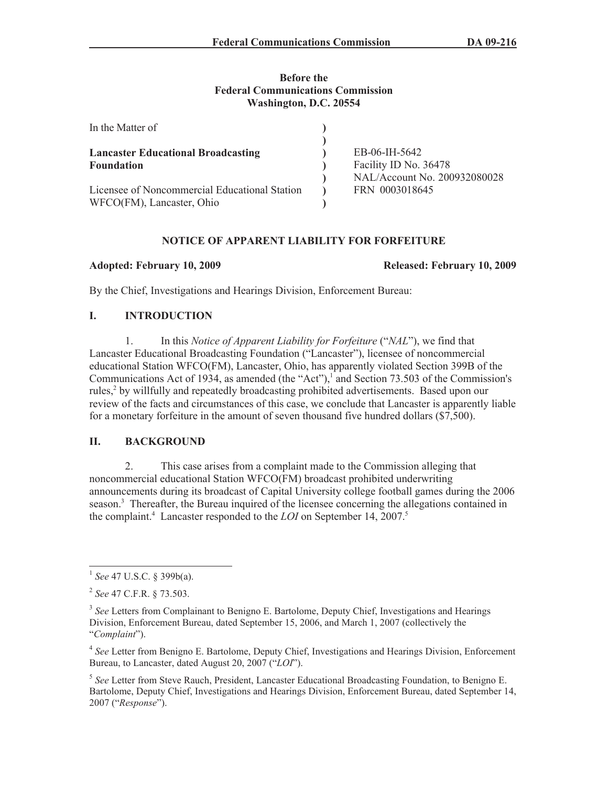# **Before the Federal Communications Commission Washington, D.C. 20554**

| In the Matter of                                                           |                                                |
|----------------------------------------------------------------------------|------------------------------------------------|
| <b>Lancaster Educational Broadcasting</b><br><b>Foundation</b>             | EB-06-IH-5642<br>Facility ID No. 36478         |
| Licensee of Noncommercial Educational Station<br>WFCO(FM), Lancaster, Ohio | NAL/Account No. 200932080028<br>FRN 0003018645 |

# **NOTICE OF APPARENT LIABILITY FOR FORFEITURE**

**Adopted: February 10, 2009 Released: February 10, 2009** 

By the Chief, Investigations and Hearings Division, Enforcement Bureau:

# **I. INTRODUCTION**

1. In this *Notice of Apparent Liability for Forfeiture* ("*NAL*"), we find that Lancaster Educational Broadcasting Foundation ("Lancaster"), licensee of noncommercial educational Station WFCO(FM), Lancaster, Ohio, has apparently violated Section 399B of the Communications Act of 1934, as amended (the "Act"),<sup>1</sup> and Section 73.503 of the Commission's rules,<sup>2</sup> by willfully and repeatedly broadcasting prohibited advertisements. Based upon our review of the facts and circumstances of this case, we conclude that Lancaster is apparently liable for a monetary forfeiture in the amount of seven thousand five hundred dollars (\$7,500).

# **II. BACKGROUND**

2. This case arises from a complaint made to the Commission alleging that noncommercial educational Station WFCO(FM) broadcast prohibited underwriting announcements during its broadcast of Capital University college football games during the 2006 season.<sup>3</sup> Thereafter, the Bureau inquired of the licensee concerning the allegations contained in the complaint.<sup>4</sup> Lancaster responded to the *LOI* on September 14, 2007.<sup>5</sup>

<sup>4</sup> See Letter from Benigno E. Bartolome, Deputy Chief, Investigations and Hearings Division, Enforcement Bureau, to Lancaster, dated August 20, 2007 ("*LOI*").

5 *See* Letter from Steve Rauch, President, Lancaster Educational Broadcasting Foundation, to Benigno E. Bartolome, Deputy Chief, Investigations and Hearings Division, Enforcement Bureau, dated September 14, 2007 ("*Response*").

<sup>1</sup> *See* 47 U.S.C. § 399b(a).

<sup>2</sup> *See* 47 C.F.R. § 73.503.

<sup>&</sup>lt;sup>3</sup> See Letters from Complainant to Benigno E. Bartolome, Deputy Chief, Investigations and Hearings Division, Enforcement Bureau, dated September 15, 2006, and March 1, 2007 (collectively the "*Complaint*").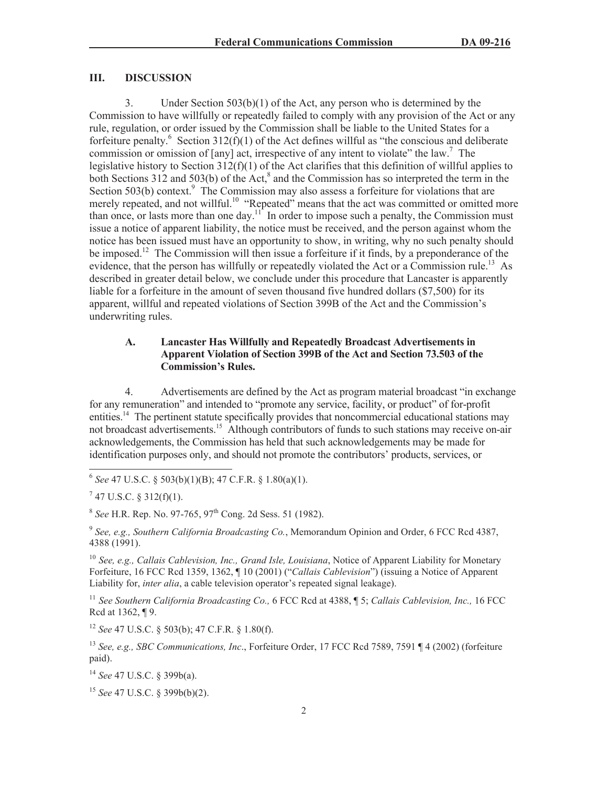# **III. DISCUSSION**

3. Under Section 503(b)(1) of the Act, any person who is determined by the Commission to have willfully or repeatedly failed to comply with any provision of the Act or any rule, regulation, or order issued by the Commission shall be liable to the United States for a forfeiture penalty. <sup>6</sup> Section 312(f)(1) of the Act defines will ful as "the conscious and deliberate commission or omission of [any] act, irrespective of any intent to violate" the law.<sup>7</sup> The legislative history to Section 312(f)(1) of the Act clarifies that this definition of willful applies to both Sections 312 and 503(b) of the Act, $^8$  and the Commission has so interpreted the term in the Section 503(b) context. $9$  The Commission may also assess a forfeiture for violations that are merely repeated, and not willful.<sup>10</sup> "Repeated" means that the act was committed or omitted more than once, or lasts more than one day.<sup>11</sup> In order to impose such a penalty, the Commission must issue a notice of apparent liability, the notice must be received, and the person against whom the notice has been issued must have an opportunity to show, in writing, why no such penalty should be imposed.<sup>12</sup> The Commission will then issue a forfeiture if it finds, by a preponderance of the evidence, that the person has willfully or repeatedly violated the Act or a Commission rule.<sup>13</sup> As described in greater detail below, we conclude under this procedure that Lancaster is apparently liable for a forfeiture in the amount of seven thousand five hundred dollars (\$7,500) for its apparent, willful and repeated violations of Section 399B of the Act and the Commission's underwriting rules.

# **A. Lancaster Has Willfully and Repeatedly Broadcast Advertisements in Apparent Violation of Section 399B of the Act and Section 73.503 of the Commission's Rules.**

4. Advertisements are defined by the Act as program material broadcast "in exchange for any remuneration" and intended to "promote any service, facility, or product" of for-profit entities.<sup>14</sup> The pertinent statute specifically provides that noncommercial educational stations may not broadcast advertisements.<sup>15</sup> Although contributors of funds to such stations may receive on-air acknowledgements, the Commission has held that such acknowledgements may be made for identification purposes only, and should not promote the contributors' products, services, or

6 *See* 47 U.S.C. § 503(b)(1)(B); 47 C.F.R. § 1.80(a)(1).

 $7$  47 U.S.C. § 312(f)(1).

<sup>8</sup> See H.R. Rep. No. 97-765, 97<sup>th</sup> Cong. 2d Sess. 51 (1982).

9 *See, e.g., Southern California Broadcasting Co.*, Memorandum Opinion and Order, 6 FCC Rcd 4387, 4388 (1991).

<sup>10</sup> *See, e.g., Callais Cablevision, Inc., Grand Isle, Louisiana*, Notice of Apparent Liability for Monetary Forfeiture, 16 FCC Rcd 1359, 1362, ¶ 10 (2001) ("*Callais Cablevision*") (issuing a Notice of Apparent Liability for, *inter alia*, a cable television operator's repeated signal leakage).

<sup>11</sup> *See Southern California Broadcasting Co.,* 6 FCC Rcd at 4388, ¶ 5; *Callais Cablevision, Inc.,* 16 FCC Rcd at 1362, ¶ 9.

<sup>12</sup> *See* 47 U.S.C. § 503(b); 47 C.F.R. § 1.80(f).

<sup>13</sup> *See, e.g., SBC Communications, Inc*., Forfeiture Order, 17 FCC Rcd 7589, 7591 ¶ 4 (2002) (forfeiture paid).

<sup>14</sup> *See* 47 U.S.C. § 399b(a).

<sup>15</sup> *See* 47 U.S.C. § 399b(b)(2).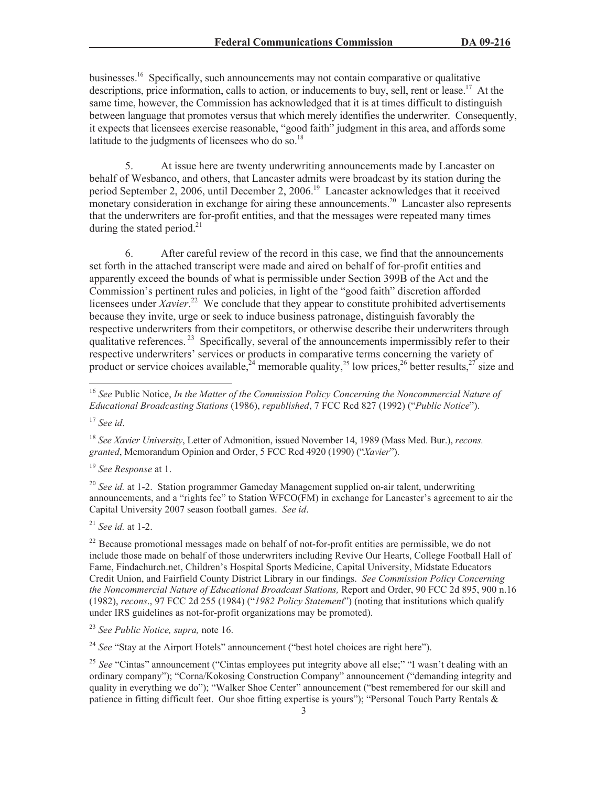businesses.<sup>16</sup> Specifically, such announcements may not contain comparative or qualitative descriptions, price information, calls to action, or inducements to buy, sell, rent or lease.<sup>17</sup> At the same time, however, the Commission has acknowledged that it is at times difficult to distinguish between language that promotes versus that which merely identifies the underwriter. Consequently, it expects that licensees exercise reasonable, "good faith" judgment in this area, and affords some latitude to the judgments of licensees who do so. $^{18}$ 

5. At issue here are twenty underwriting announcements made by Lancaster on behalf of Wesbanco, and others, that Lancaster admits were broadcast by its station during the period September 2, 2006, until December 2, 2006.<sup>19</sup> Lancaster acknowledges that it received monetary consideration in exchange for airing these announcements.<sup>20</sup> Lancaster also represents that the underwriters are for-profit entities, and that the messages were repeated many times during the stated period. $^{21}$ 

6. After careful review of the record in this case, we find that the announcements set forth in the attached transcript were made and aired on behalf of for-profit entities and apparently exceed the bounds of what is permissible under Section 399B of the Act and the Commission's pertinent rules and policies, in light of the "good faith" discretion afforded licensees under *Xavier*.<sup>22</sup> We conclude that they appear to constitute prohibited advertisements because they invite, urge or seek to induce business patronage, distinguish favorably the respective underwriters from their competitors, or otherwise describe their underwriters through qualitative references.<sup>23</sup> Specifically, several of the announcements impermissibly refer to their respective underwriters' services or products in comparative terms concerning the variety of product or service choices available,  $^{24}$  memorable quality,  $^{25}$  low prices,  $^{26}$  better results,  $^{27}$  size and

<sup>17</sup> *See id*.

<sup>19</sup> *See Response* at 1.

<sup>20</sup> *See id.* at 1-2. Station programmer Gameday Management supplied on-air talent, underwriting announcements, and a "rights fee" to Station WFCO(FM) in exchange for Lancaster's agreement to air the Capital University 2007 season football games. *See id*.

<sup>21</sup> *See id.* at 1-2.

 $^{22}$  Because promotional messages made on behalf of not-for-profit entities are permissible, we do not include those made on behalf of those underwriters including Revive Our Hearts, College Football Hall of Fame, Findachurch.net, Children's Hospital Sports Medicine, Capital University, Midstate Educators Credit Union, and Fairfield County District Library in our findings. *See Commission Policy Concerning the Noncommercial Nature of Educational Broadcast Stations,* Report and Order, 90 FCC 2d 895, 900 n.16 (1982), *recons*., 97 FCC 2d 255 (1984) ("*1982 Policy Statement*") (noting that institutions which qualify under IRS guidelines as not-for-profit organizations may be promoted).

<sup>23</sup> *See Public Notice, supra,* note 16.

<sup>24</sup> *See* "Stay at the Airport Hotels" announcement ("best hotel choices are right here").

<sup>25</sup> *See* "Cintas" announcement ("Cintas employees put integrity above all else;" "I wasn't dealing with an ordinary company"); "Corna/Kokosing Construction Company" announcement ("demanding integrity and quality in everything we do"); "Walker Shoe Center" announcement ("best remembered for our skill and patience in fitting difficult feet. Our shoe fitting expertise is yours"); "Personal Touch Party Rentals &

<sup>16</sup> *See* Public Notice, *In the Matter of the Commission Policy Concerning the Noncommercial Nature of Educational Broadcasting Stations* (1986), *republished*, 7 FCC Rcd 827 (1992) ("*Public Notice*").

<sup>18</sup> *See Xavier University*, Letter of Admonition, issued November 14, 1989 (Mass Med. Bur.), *recons. granted*, Memorandum Opinion and Order, 5 FCC Rcd 4920 (1990) ("*Xavier*").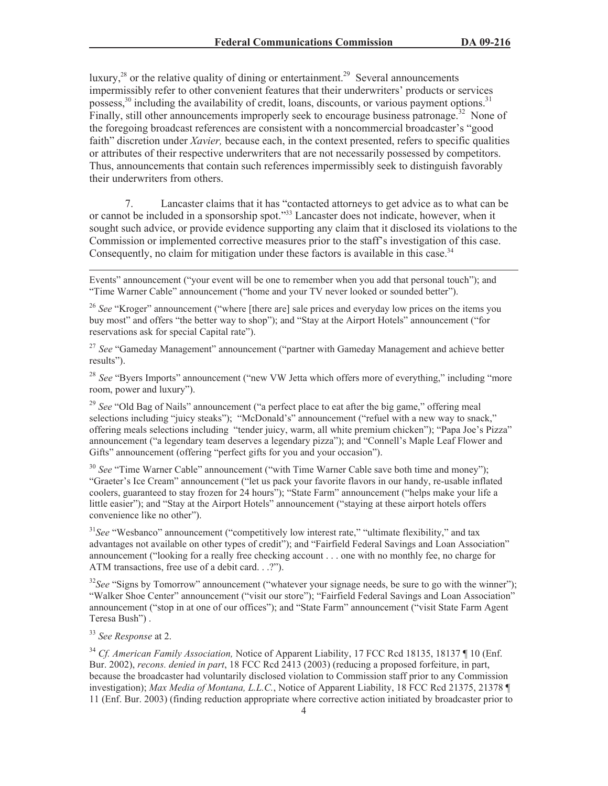luxury, $28$  or the relative quality of dining or entertainment.<sup>29</sup> Several announcements impermissibly refer to other convenient features that their underwriters' products or services possess,<sup>30</sup> including the availability of credit, loans, discounts, or various payment options.<sup>31</sup> Finally, still other announcements improperly seek to encourage business patronage.<sup>32</sup> None of the foregoing broadcast references are consistent with a noncommercial broadcaster's "good faith" discretion under *Xavier,* because each, in the context presented, refers to specific qualities or attributes of their respective underwriters that are not necessarily possessed by competitors. Thus, announcements that contain such references impermissibly seek to distinguish favorably their underwriters from others.

7. Lancaster claims that it has "contacted attorneys to get advice as to what can be or cannot be included in a sponsorship spot."<sup>33</sup> Lancaster does not indicate, however, when it sought such advice, or provide evidence supporting any claim that it disclosed its violations to the Commission or implemented corrective measures prior to the staff's investigation of this case. Consequently, no claim for mitigation under these factors is available in this case.<sup>34</sup>

<sup>27</sup> See "Gameday Management" announcement ("partner with Gameday Management and achieve better results").

<sup>28</sup> *See* "Byers Imports" announcement ("new VW Jetta which offers more of everything," including "more room, power and luxury").

<sup>29</sup> See "Old Bag of Nails" announcement ("a perfect place to eat after the big game," offering meal selections including "juicy steaks"); "McDonald's" announcement ("refuel with a new way to snack," offering meals selections including "tender juicy, warm, all white premium chicken"); "Papa Joe's Pizza" announcement ("a legendary team deserves a legendary pizza"); and "Connell's Maple Leaf Flower and Gifts" announcement (offering "perfect gifts for you and your occasion").

<sup>30</sup> See "Time Warner Cable" announcement ("with Time Warner Cable save both time and money"); "Graeter's Ice Cream" announcement ("let us pack your favorite flavors in our handy, re-usable inflated coolers, guaranteed to stay frozen for 24 hours"); "State Farm" announcement ("helps make your life a little easier"); and "Stay at the Airport Hotels" announcement ("staying at these airport hotels offers convenience like no other").

<sup>31</sup>See "Wesbanco" announcement ("competitively low interest rate," "ultimate flexibility," and tax advantages not available on other types of credit"); and "Fairfield Federal Savings and Loan Association" announcement ("looking for a really free checking account . . . one with no monthly fee, no charge for ATM transactions, free use of a debit card. . .?").

<sup>32</sup>See "Signs by Tomorrow" announcement ("whatever your signage needs, be sure to go with the winner"); "Walker Shoe Center" announcement ("visit our store"); "Fairfield Federal Savings and Loan Association" announcement ("stop in at one of our offices"); and "State Farm" announcement ("visit State Farm Agent Teresa Bush") .

# <sup>33</sup> *See Response* at 2.

<sup>34</sup> *Cf. American Family Association,* Notice of Apparent Liability, 17 FCC Rcd 18135, 18137 ¶ 10 (Enf. Bur. 2002), *recons. denied in part*, 18 FCC Rcd 2413 (2003) (reducing a proposed forfeiture, in part, because the broadcaster had voluntarily disclosed violation to Commission staff prior to any Commission investigation); *Max Media of Montana, L.L.C.*, Notice of Apparent Liability, 18 FCC Rcd 21375, 21378 ¶ 11 (Enf. Bur. 2003) (finding reduction appropriate where corrective action initiated by broadcaster prior to

Events" announcement ("your event will be one to remember when you add that personal touch"); and "Time Warner Cable" announcement ("home and your TV never looked or sounded better").

<sup>&</sup>lt;sup>26</sup> See "Kroger" announcement ("where [there are] sale prices and everyday low prices on the items you buy most" and offers "the better way to shop"); and "Stay at the Airport Hotels" announcement ("for reservations ask for special Capital rate").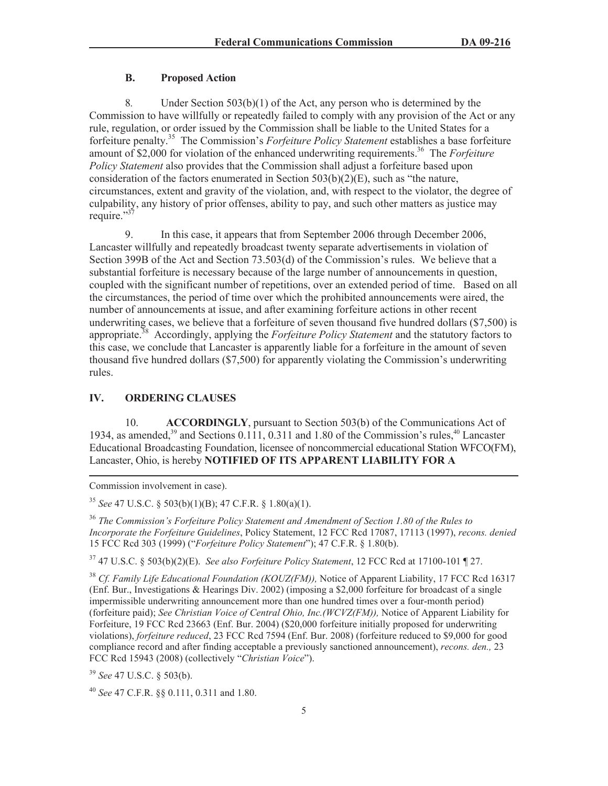#### **B. Proposed Action**

8*.* Under Section 503(b)(1) of the Act, any person who is determined by the Commission to have willfully or repeatedly failed to comply with any provision of the Act or any rule, regulation, or order issued by the Commission shall be liable to the United States for a forfeiture penalty.<sup>35</sup> The Commission's *Forfeiture Policy Statement* establishes a base forfeiture amount of \$2,000 for violation of the enhanced underwriting requirements.<sup>36</sup> The *Forfeiture Policy Statement* also provides that the Commission shall adjust a forfeiture based upon consideration of the factors enumerated in Section 503(b)(2)(E), such as "the nature, circumstances, extent and gravity of the violation, and, with respect to the violator, the degree of culpability, any history of prior offenses, ability to pay, and such other matters as justice may require."<sup>37</sup>

9. In this case, it appears that from September 2006 through December 2006, Lancaster willfully and repeatedly broadcast twenty separate advertisements in violation of Section 399B of the Act and Section 73.503(d) of the Commission's rules. We believe that a substantial forfeiture is necessary because of the large number of announcements in question, coupled with the significant number of repetitions, over an extended period of time. Based on all the circumstances, the period of time over which the prohibited announcements were aired, the number of announcements at issue, and after examining forfeiture actions in other recent underwriting cases, we believe that a forfeiture of seven thousand five hundred dollars (\$7,500) is appropriate. <sup>38</sup> Accordingly, applying the *Forfeiture Policy Statement* and the statutory factors to this case, we conclude that Lancaster is apparently liable for a forfeiture in the amount of seven thousand five hundred dollars (\$7,500) for apparently violating the Commission's underwriting rules.

## **IV. ORDERING CLAUSES**

10. **ACCORDINGLY**, pursuant to Section 503(b) of the Communications Act of 1934, as amended,<sup>39</sup> and Sections  $0.111$ ,  $0.311$  and  $1.80$  of the Commission's rules,<sup>40</sup> Lancaster Educational Broadcasting Foundation, licensee of noncommercial educational Station WFCO(FM), Lancaster, Ohio, is hereby **NOTIFIED OF ITS APPARENT LIABILITY FOR A** 

Commission involvement in case).

<sup>35</sup> *See* 47 U.S.C. § 503(b)(1)(B); 47 C.F.R. § 1.80(a)(1).

<sup>36</sup> *The Commission's Forfeiture Policy Statement and Amendment of Section 1.80 of the Rules to Incorporate the Forfeiture Guidelines*, Policy Statement, 12 FCC Rcd 17087, 17113 (1997), *recons. denied* 15 FCC Rcd 303 (1999) ("*Forfeiture Policy Statement*"); 47 C.F.R. § 1.80(b).

<sup>37</sup> 47 U.S.C. § 503(b)(2)(E). *See also Forfeiture Policy Statement*, 12 FCC Rcd at 17100-101 ¶ 27.

<sup>38</sup> Cf. Family Life Educational Foundation (KOUZ(FM)), Notice of Apparent Liability, 17 FCC Rcd 16317 (Enf. Bur., Investigations & Hearings Div. 2002) (imposing a \$2,000 forfeiture for broadcast of a single impermissible underwriting announcement more than one hundred times over a four-month period) (forfeiture paid); *See Christian Voice of Central Ohio, Inc.(WCVZ(FM)),* Notice of Apparent Liability for Forfeiture, 19 FCC Rcd 23663 (Enf. Bur. 2004) (\$20,000 forfeiture initially proposed for underwriting violations), *forfeiture reduced*, 23 FCC Rcd 7594 (Enf. Bur. 2008) (forfeiture reduced to \$9,000 for good compliance record and after finding acceptable a previously sanctioned announcement), *recons. den.,* 23 FCC Rcd 15943 (2008) (collectively "*Christian Voice*").

<sup>39</sup> *See* 47 U.S.C. § 503(b).

<sup>40</sup> *See* 47 C.F.R. §§ 0.111, 0.311 and 1.80.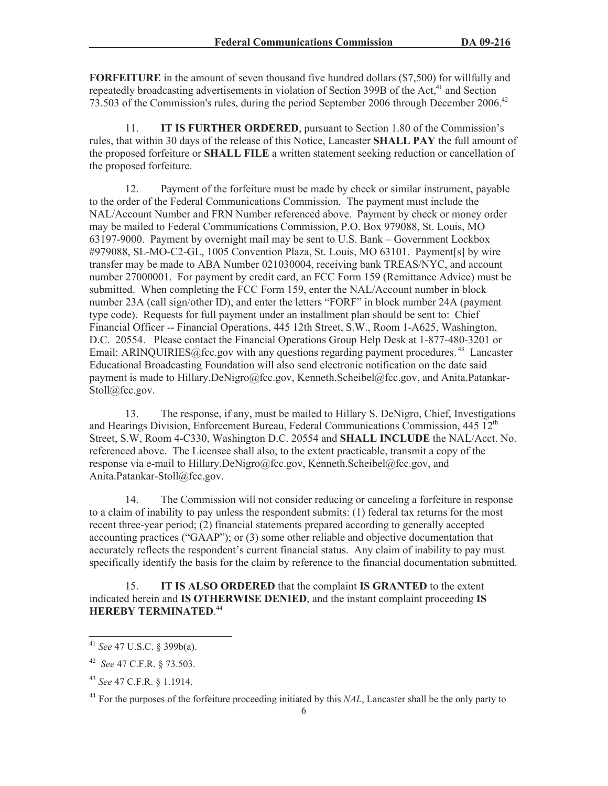**FORFEITURE** in the amount of seven thousand five hundred dollars (\$7,500) for willfully and repeatedly broadcasting advertisements in violation of Section 399B of the Act,<sup>41</sup> and Section 73.503 of the Commission's rules, during the period September 2006 through December 2006.<sup>42</sup>

11. **IT IS FURTHER ORDERED**, pursuant to Section 1.80 of the Commission's rules, that within 30 days of the release of this Notice, Lancaster **SHALL PAY** the full amount of the proposed forfeiture or **SHALL FILE** a written statement seeking reduction or cancellation of the proposed forfeiture.

12. Payment of the forfeiture must be made by check or similar instrument, payable to the order of the Federal Communications Commission. The payment must include the NAL/Account Number and FRN Number referenced above. Payment by check or money order may be mailed to Federal Communications Commission, P.O. Box 979088, St. Louis, MO 63197-9000. Payment by overnight mail may be sent to U.S. Bank – Government Lockbox #979088, SL-MO-C2-GL, 1005 Convention Plaza, St. Louis, MO 63101. Payment[s] by wire transfer may be made to ABA Number 021030004, receiving bank TREAS/NYC, and account number 27000001. For payment by credit card, an FCC Form 159 (Remittance Advice) must be submitted. When completing the FCC Form 159, enter the NAL/Account number in block number 23A (call sign/other ID), and enter the letters "FORF" in block number 24A (payment type code). Requests for full payment under an installment plan should be sent to: Chief Financial Officer -- Financial Operations, 445 12th Street, S.W., Room 1-A625, Washington, D.C. 20554. Please contact the Financial Operations Group Help Desk at 1-877-480-3201 or Email: ARINQUIRIES@fcc.gov with any questions regarding payment procedures.<sup>43</sup> Lancaster Educational Broadcasting Foundation will also send electronic notification on the date said payment is made to Hillary.DeNigro@fcc.gov, Kenneth.Scheibel@fcc.gov, and Anita.Patankar-Stoll@fcc.gov.

13. The response, if any, must be mailed to Hillary S. DeNigro, Chief, Investigations and Hearings Division, Enforcement Bureau, Federal Communications Commission, 445 12<sup>th</sup> Street, S.W, Room 4-C330, Washington D.C. 20554 and **SHALL INCLUDE** the NAL/Acct. No. referenced above. The Licensee shall also, to the extent practicable, transmit a copy of the response via e-mail to Hillary.DeNigro@fcc.gov, Kenneth.Scheibel@fcc.gov, and Anita.Patankar-Stoll@fcc.gov.

14. The Commission will not consider reducing or canceling a forfeiture in response to a claim of inability to pay unless the respondent submits: (1) federal tax returns for the most recent three-year period; (2) financial statements prepared according to generally accepted accounting practices ("GAAP"); or (3) some other reliable and objective documentation that accurately reflects the respondent's current financial status. Any claim of inability to pay must specifically identify the basis for the claim by reference to the financial documentation submitted.

15. **IT IS ALSO ORDERED** that the complaint **IS GRANTED** to the extent indicated herein and **IS OTHERWISE DENIED**, and the instant complaint proceeding **IS HEREBY TERMINATED**. 44

<sup>41</sup> *See* 47 U.S.C. § 399b(a).

<sup>42</sup> *See* 47 C.F.R. § 73.503.

<sup>43</sup> *See* 47 C.F.R. § 1.1914.

<sup>&</sup>lt;sup>44</sup> For the purposes of the forfeiture proceeding initiated by this *NAL*, Lancaster shall be the only party to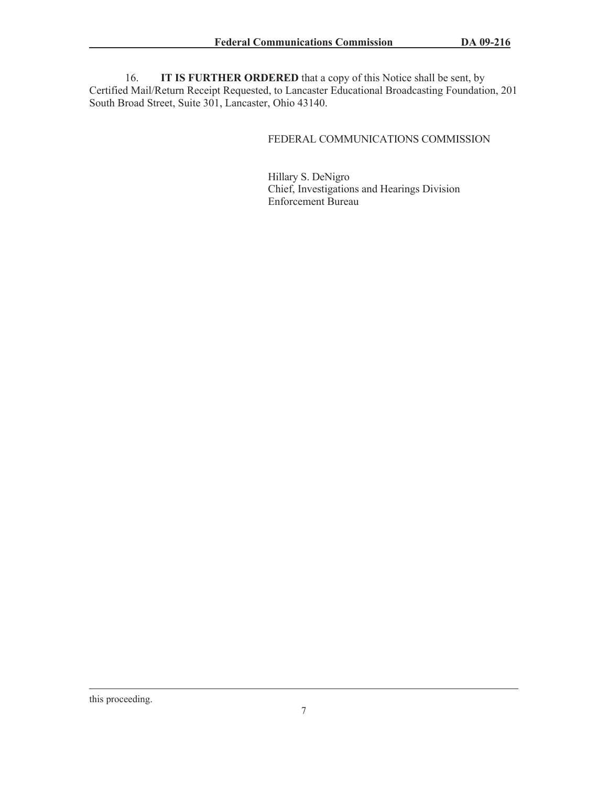16. **IT IS FURTHER ORDERED** that a copy of this Notice shall be sent, by Certified Mail/Return Receipt Requested, to Lancaster Educational Broadcasting Foundation, 201 South Broad Street, Suite 301, Lancaster, Ohio 43140.

## FEDERAL COMMUNICATIONS COMMISSION

Hillary S. DeNigro Chief, Investigations and Hearings Division Enforcement Bureau

this proceeding.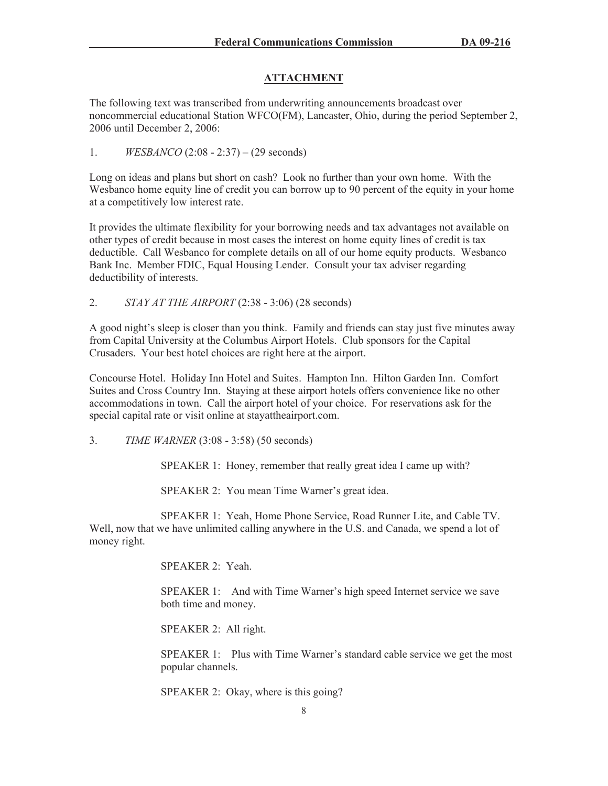# **ATTACHMENT**

The following text was transcribed from underwriting announcements broadcast over noncommercial educational Station WFCO(FM), Lancaster, Ohio, during the period September 2, 2006 until December 2, 2006:

1. *WESBANCO* (2:08 - 2:37) – (29 seconds)

Long on ideas and plans but short on cash? Look no further than your own home. With the Wesbanco home equity line of credit you can borrow up to 90 percent of the equity in your home at a competitively low interest rate.

It provides the ultimate flexibility for your borrowing needs and tax advantages not available on other types of credit because in most cases the interest on home equity lines of credit is tax deductible. Call Wesbanco for complete details on all of our home equity products. Wesbanco Bank Inc. Member FDIC, Equal Housing Lender. Consult your tax adviser regarding deductibility of interests.

2. *STAY AT THE AIRPORT* (2:38 - 3:06) (28 seconds)

A good night's sleep is closer than you think. Family and friends can stay just five minutes away from Capital University at the Columbus Airport Hotels. Club sponsors for the Capital Crusaders. Your best hotel choices are right here at the airport.

Concourse Hotel. Holiday Inn Hotel and Suites. Hampton Inn. Hilton Garden Inn. Comfort Suites and Cross Country Inn. Staying at these airport hotels offers convenience like no other accommodations in town. Call the airport hotel of your choice. For reservations ask for the special capital rate or visit online at stayattheairport.com.

3. *TIME WARNER* (3:08 - 3:58) (50 seconds)

SPEAKER 1: Honey, remember that really great idea I came up with?

SPEAKER 2: You mean Time Warner's great idea.

SPEAKER 1: Yeah, Home Phone Service, Road Runner Lite, and Cable TV. Well, now that we have unlimited calling anywhere in the U.S. and Canada, we spend a lot of money right.

SPEAKER 2: Yeah.

SPEAKER 1: And with Time Warner's high speed Internet service we save both time and money.

SPEAKER 2: All right.

SPEAKER 1: Plus with Time Warner's standard cable service we get the most popular channels.

SPEAKER 2: Okay, where is this going?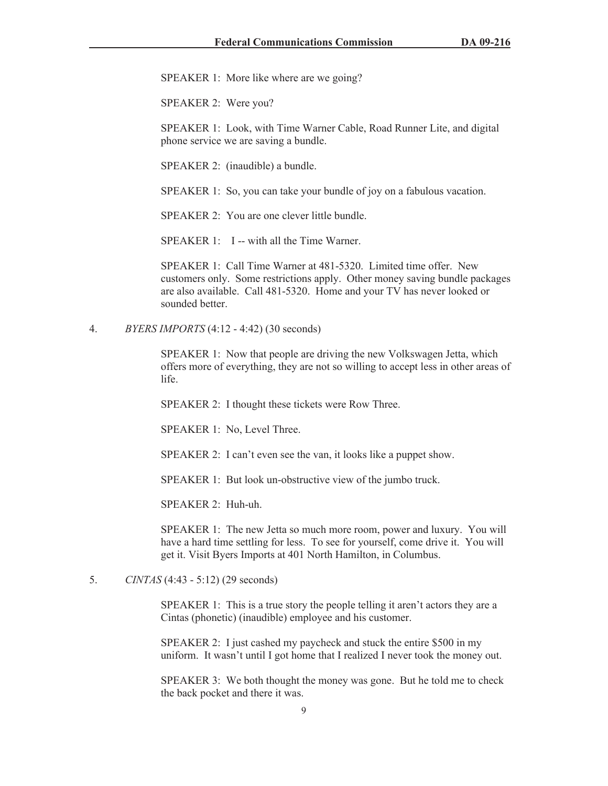SPEAKER 1: More like where are we going?

SPEAKER 2: Were you?

SPEAKER 1: Look, with Time Warner Cable, Road Runner Lite, and digital phone service we are saving a bundle.

SPEAKER 2: (inaudible) a bundle.

SPEAKER 1: So, you can take your bundle of joy on a fabulous vacation.

SPEAKER 2: You are one clever little bundle.

SPEAKER 1: I -- with all the Time Warner.

SPEAKER 1: Call Time Warner at 481-5320. Limited time offer. New customers only. Some restrictions apply. Other money saving bundle packages are also available. Call 481-5320. Home and your TV has never looked or sounded better.

4. *BYERS IMPORTS* (4:12 - 4:42) (30 seconds)

SPEAKER 1: Now that people are driving the new Volkswagen Jetta, which offers more of everything, they are not so willing to accept less in other areas of life.

SPEAKER 2: I thought these tickets were Row Three.

SPEAKER 1: No, Level Three.

SPEAKER 2: I can't even see the van, it looks like a puppet show.

SPEAKER 1: But look un-obstructive view of the jumbo truck.

SPEAKER 2: Huh-uh.

SPEAKER 1: The new Jetta so much more room, power and luxury. You will have a hard time settling for less. To see for yourself, come drive it. You will get it. Visit Byers Imports at 401 North Hamilton, in Columbus.

5. *CINTAS* (4:43 - 5:12) (29 seconds)

SPEAKER 1: This is a true story the people telling it aren't actors they are a Cintas (phonetic) (inaudible) employee and his customer.

SPEAKER 2: I just cashed my paycheck and stuck the entire \$500 in my uniform. It wasn't until I got home that I realized I never took the money out.

SPEAKER 3: We both thought the money was gone. But he told me to check the back pocket and there it was.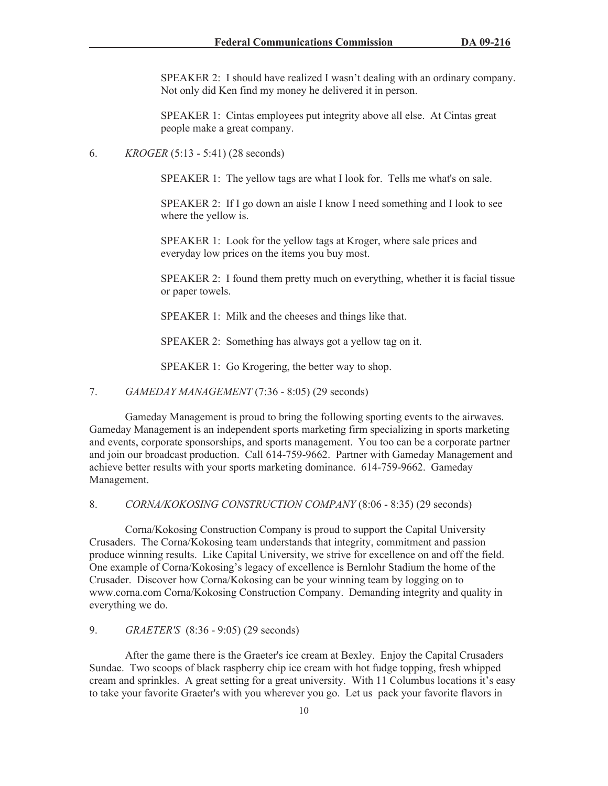SPEAKER 2: I should have realized I wasn't dealing with an ordinary company. Not only did Ken find my money he delivered it in person.

SPEAKER 1: Cintas employees put integrity above all else. At Cintas great people make a great company.

6. *KROGER* (5:13 - 5:41) (28 seconds)

SPEAKER 1: The yellow tags are what I look for. Tells me what's on sale.

SPEAKER 2: If I go down an aisle I know I need something and I look to see where the yellow is.

SPEAKER 1: Look for the yellow tags at Kroger, where sale prices and everyday low prices on the items you buy most.

SPEAKER 2: I found them pretty much on everything, whether it is facial tissue or paper towels.

SPEAKER 1: Milk and the cheeses and things like that.

SPEAKER 2: Something has always got a yellow tag on it.

SPEAKER 1: Go Krogering, the better way to shop.

#### 7. *GAMEDAY MANAGEMENT* (7:36 - 8:05) (29 seconds)

Gameday Management is proud to bring the following sporting events to the airwaves. Gameday Management is an independent sports marketing firm specializing in sports marketing and events, corporate sponsorships, and sports management. You too can be a corporate partner and join our broadcast production. Call 614-759-9662. Partner with Gameday Management and achieve better results with your sports marketing dominance. 614-759-9662. Gameday Management.

8. *CORNA/KOKOSING CONSTRUCTION COMPANY* (8:06 - 8:35) (29 seconds)

Corna/Kokosing Construction Company is proud to support the Capital University Crusaders. The Corna/Kokosing team understands that integrity, commitment and passion produce winning results. Like Capital University, we strive for excellence on and off the field. One example of Corna/Kokosing's legacy of excellence is Bernlohr Stadium the home of the Crusader. Discover how Corna/Kokosing can be your winning team by logging on to www.corna.com Corna/Kokosing Construction Company. Demanding integrity and quality in everything we do.

9. *GRAETER'S* (8:36 - 9:05) (29 seconds)

After the game there is the Graeter's ice cream at Bexley. Enjoy the Capital Crusaders Sundae. Two scoops of black raspberry chip ice cream with hot fudge topping, fresh whipped cream and sprinkles. A great setting for a great university. With 11 Columbus locations it's easy to take your favorite Graeter's with you wherever you go. Let us pack your favorite flavors in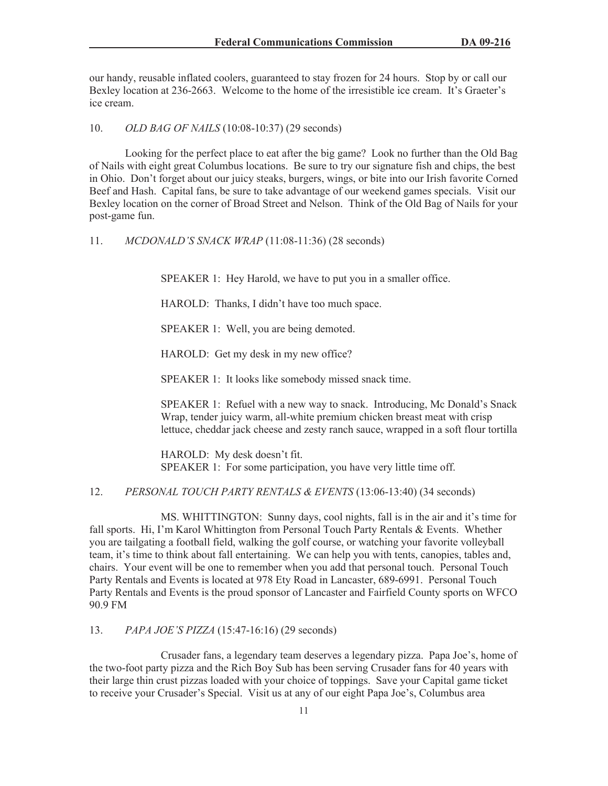our handy, reusable inflated coolers, guaranteed to stay frozen for 24 hours. Stop by or call our Bexley location at 236-2663. Welcome to the home of the irresistible ice cream. It's Graeter's ice cream.

10. *OLD BAG OF NAILS* (10:08-10:37) (29 seconds)

Looking for the perfect place to eat after the big game? Look no further than the Old Bag of Nails with eight great Columbus locations. Be sure to try our signature fish and chips, the best in Ohio. Don't forget about our juicy steaks, burgers, wings, or bite into our Irish favorite Corned Beef and Hash. Capital fans, be sure to take advantage of our weekend games specials. Visit our Bexley location on the corner of Broad Street and Nelson. Think of the Old Bag of Nails for your post-game fun.

11. *MCDONALD'S SNACK WRAP* (11:08-11:36) (28 seconds)

SPEAKER 1: Hey Harold, we have to put you in a smaller office.

HAROLD: Thanks, I didn't have too much space.

SPEAKER 1: Well, you are being demoted.

HAROLD: Get my desk in my new office?

SPEAKER 1: It looks like somebody missed snack time.

SPEAKER 1: Refuel with a new way to snack. Introducing, Mc Donald's Snack Wrap, tender juicy warm, all-white premium chicken breast meat with crisp lettuce, cheddar jack cheese and zesty ranch sauce, wrapped in a soft flour tortilla

HAROLD: My desk doesn't fit. SPEAKER 1: For some participation, you have very little time off.

12. *PERSONAL TOUCH PARTY RENTALS & EVENTS* (13:06-13:40) (34 seconds)

MS. WHITTINGTON: Sunny days, cool nights, fall is in the air and it's time for fall sports. Hi, I'm Karol Whittington from Personal Touch Party Rentals & Events. Whether you are tailgating a football field, walking the golf course, or watching your favorite volleyball team, it's time to think about fall entertaining. We can help you with tents, canopies, tables and, chairs. Your event will be one to remember when you add that personal touch. Personal Touch Party Rentals and Events is located at 978 Ety Road in Lancaster, 689-6991. Personal Touch Party Rentals and Events is the proud sponsor of Lancaster and Fairfield County sports on WFCO 90.9 FM

13. *PAPA JOE'S PIZZA* (15:47-16:16) (29 seconds)

Crusader fans, a legendary team deserves a legendary pizza. Papa Joe's, home of the two-foot party pizza and the Rich Boy Sub has been serving Crusader fans for 40 years with their large thin crust pizzas loaded with your choice of toppings. Save your Capital game ticket to receive your Crusader's Special. Visit us at any of our eight Papa Joe's, Columbus area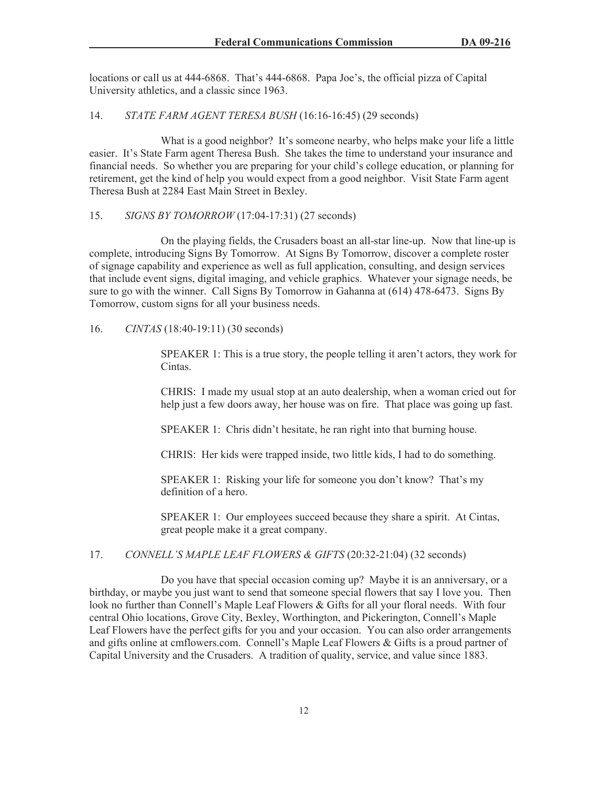locations or call us at 444-6868. That's 444-6868. Papa Joe's, the official pizza of Capital University athletics, and a classic since 1963.

#### 14. *STATE FARM AGENT TERESA BUSH* (16:16-16:45) (29 seconds)

What is a good neighbor? It's someone nearby, who helps make your life a little easier. It's State Farm agent Theresa Bush. She takes the time to understand your insurance and financial needs. So whether you are preparing for your child's college education, or planning for retirement, get the kind of help you would expect from a good neighbor. Visit State Farm agent Theresa Bush at 2284 East Main Street in Bexley.

#### 15. *SIGNS BY TOMORROW* (17:04-17:31) (27 seconds)

On the playing fields, the Crusaders boast an all-star line-up. Now that line-up is complete, introducing Signs By Tomorrow. At Signs By Tomorrow, discover a complete roster of signage capability and experience as well as full application, consulting, and design services that include event signs, digital imaging, and vehicle graphics. Whatever your signage needs, be sure to go with the winner. Call Signs By Tomorrow in Gahanna at (614) 478-6473. Signs By Tomorrow, custom signs for all your business needs.

#### 16. *CINTAS* (18:40-19:11) (30 seconds)

SPEAKER 1: This is a true story, the people telling it aren't actors, they work for Cintas.

CHRIS: I made my usual stop at an auto dealership, when a woman cried out for help just a few doors away, her house was on fire. That place was going up fast.

SPEAKER 1: Chris didn't hesitate, he ran right into that burning house.

CHRIS: Her kids were trapped inside, two little kids, I had to do something.

SPEAKER 1: Risking your life for someone you don't know? That's my definition of a hero.

SPEAKER 1: Our employees succeed because they share a spirit. At Cintas, great people make it a great company.

#### 17. *CONNELL'S MAPLE LEAF FLOWERS & GIFTS* (20:32-21:04) (32 seconds)

Do you have that special occasion coming up? Maybe it is an anniversary, or a birthday, or maybe you just want to send that someone special flowers that say I love you. Then look no further than Connell's Maple Leaf Flowers & Gifts for all your floral needs. With four central Ohio locations, Grove City, Bexley, Worthington, and Pickerington, Connell's Maple Leaf Flowers have the perfect gifts for you and your occasion. You can also order arrangements and gifts online at cmflowers.com. Connell's Maple Leaf Flowers & Gifts is a proud partner of Capital University and the Crusaders. A tradition of quality, service, and value since 1883.